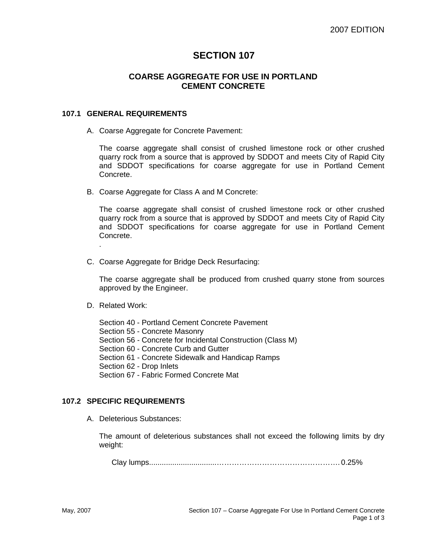# **SECTION 107**

# **COARSE AGGREGATE FOR USE IN PORTLAND CEMENT CONCRETE**

### **107.1 GENERAL REQUIREMENTS**

A. Coarse Aggregate for Concrete Pavement:

The coarse aggregate shall consist of crushed limestone rock or other crushed quarry rock from a source that is approved by SDDOT and meets City of Rapid City and SDDOT specifications for coarse aggregate for use in Portland Cement Concrete.

B. Coarse Aggregate for Class A and M Concrete:

The coarse aggregate shall consist of crushed limestone rock or other crushed quarry rock from a source that is approved by SDDOT and meets City of Rapid City and SDDOT specifications for coarse aggregate for use in Portland Cement Concrete.

C. Coarse Aggregate for Bridge Deck Resurfacing:

The coarse aggregate shall be produced from crushed quarry stone from sources approved by the Engineer.

D. Related Work:

.

- Section 40 Portland Cement Concrete Pavement
- Section 55 Concrete Masonry
- Section 56 Concrete for Incidental Construction (Class M)
- Section 60 Concrete Curb and Gutter
- Section 61 Concrete Sidewalk and Handicap Ramps
- Section 62 Drop Inlets
- Section 67 Fabric Formed Concrete Mat

#### **107.2 SPECIFIC REQUIREMENTS**

A. Deleterious Substances:

The amount of deleterious substances shall not exceed the following limits by dry weight:

Clay lumps................................…………………………………………. 0.25%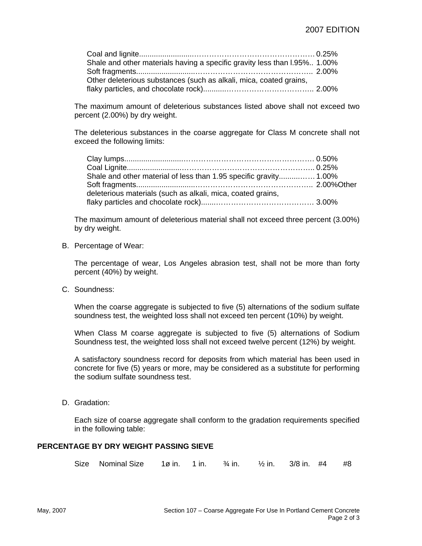| Shale and other materials having a specific gravity less than I.95% 1.00% |  |
|---------------------------------------------------------------------------|--|
|                                                                           |  |
| Other deleterious substances (such as alkali, mica, coated grains,        |  |
|                                                                           |  |

The maximum amount of deleterious substances listed above shall not exceed two percent (2.00%) by dry weight.

The deleterious substances in the coarse aggregate for Class M concrete shall not exceed the following limits:

| Shale and other material of less than 1.95 specific gravity 1.00% |  |
|-------------------------------------------------------------------|--|
|                                                                   |  |
| deleterious materials (such as alkali, mica, coated grains,       |  |
|                                                                   |  |

The maximum amount of deleterious material shall not exceed three percent (3.00%) by dry weight.

B. Percentage of Wear:

The percentage of wear, Los Angeles abrasion test, shall not be more than forty percent (40%) by weight.

C. Soundness:

When the coarse aggregate is subjected to five (5) alternations of the sodium sulfate soundness test, the weighted loss shall not exceed ten percent (10%) by weight.

When Class M coarse aggregate is subjected to five (5) alternations of Sodium Soundness test, the weighted loss shall not exceed twelve percent (12%) by weight.

A satisfactory soundness record for deposits from which material has been used in concrete for five (5) years or more, may be considered as a substitute for performing the sodium sulfate soundness test.

D. Gradation:

Each size of coarse aggregate shall conform to the gradation requirements specified in the following table:

#### **PERCENTAGE BY DRY WEIGHT PASSING SIEVE**

Size Nominal Size  $1\sigma$  in.  $1\sigma$  in.  $\frac{3}{4}$  in.  $\frac{1}{2}$  in.  $\frac{3}{8}$  in.  $\frac{44}{16}$   $\frac{48}{16}$